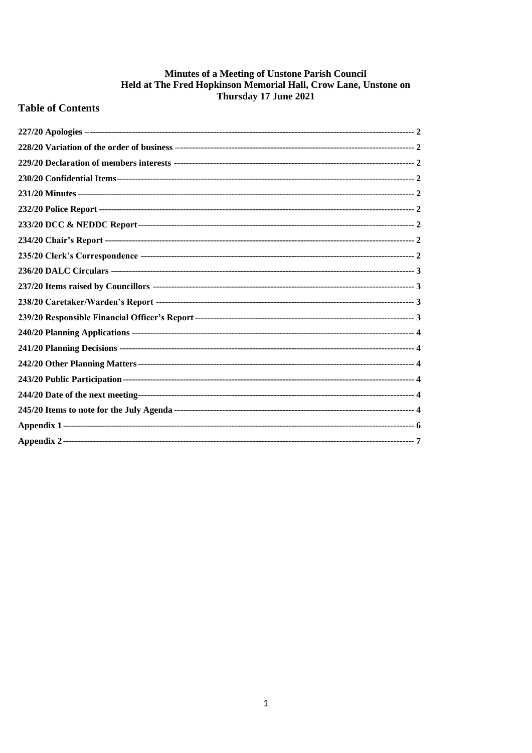# Minutes of a Meeting of Unstone Parish Council Held at The Fred Hopkinson Memorial Hall, Crow Lane, Unstone on<br>Thursday 17 June 2021

# **Table of Contents**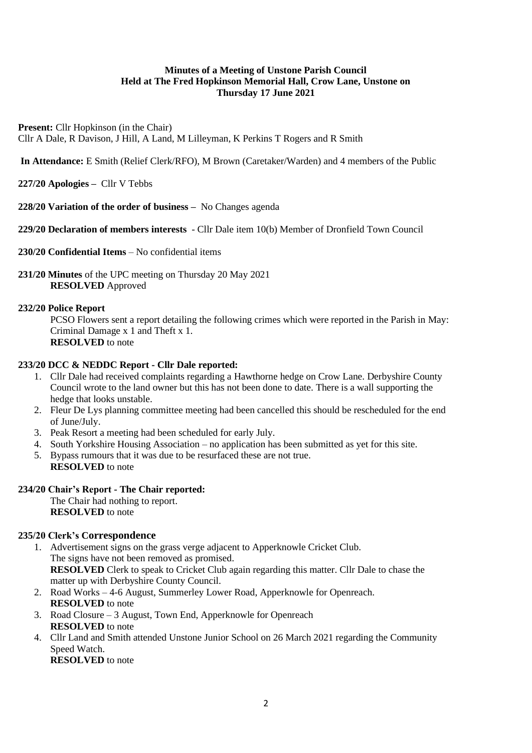# **Minutes of a Meeting of Unstone Parish Council Held at The Fred Hopkinson Memorial Hall, Crow Lane, Unstone on Thursday 17 June 2021**

**Present:** Cllr Hopkinson (in the Chair) Cllr A Dale, R Davison, J Hill, A Land, M Lilleyman, K Perkins T Rogers and R Smith

**In Attendance:** E Smith (Relief Clerk/RFO), M Brown (Caretaker/Warden) and 4 members of the Public

<span id="page-1-0"></span>**227/20 Apologies –** Cllr V Tebbs

<span id="page-1-1"></span>**228/20 Variation of the order of business –** No Changes agenda

<span id="page-1-2"></span>**229/20 Declaration of members interests** - Cllr Dale item 10(b) Member of Dronfield Town Council

<span id="page-1-3"></span>**230/20 Confidential Items** – No confidential items

<span id="page-1-4"></span>**231/20 Minutes** of the UPC meeting on Thursday 20 May 2021 **RESOLVED** Approved

# <span id="page-1-5"></span>**232/20 Police Report**

PCSO Flowers sent a report detailing the following crimes which were reported in the Parish in May: Criminal Damage x 1 and Theft x 1. **RESOLVED** to note

# <span id="page-1-6"></span>**233/20 DCC & NEDDC Report - Cllr Dale reported:**

- 1. Cllr Dale had received complaints regarding a Hawthorne hedge on Crow Lane. Derbyshire County Council wrote to the land owner but this has not been done to date. There is a wall supporting the hedge that looks unstable.
- 2. Fleur De Lys planning committee meeting had been cancelled this should be rescheduled for the end of June/July.
- 3. Peak Resort a meeting had been scheduled for early July.
- 4. South Yorkshire Housing Association no application has been submitted as yet for this site.
- 5. Bypass rumours that it was due to be resurfaced these are not true. **RESOLVED** to note

# <span id="page-1-7"></span>**234/20 Chair's Report - The Chair reported:**

The Chair had nothing to report. **RESOLVED** to note

#### <span id="page-1-8"></span>**235/20 Clerk's Correspondence**

- 1. Advertisement signs on the grass verge adjacent to Apperknowle Cricket Club. The signs have not been removed as promised. **RESOLVED** Clerk to speak to Cricket Club again regarding this matter. Cllr Dale to chase the matter up with Derbyshire County Council.
- 2. Road Works 4-6 August, Summerley Lower Road, Apperknowle for Openreach. **RESOLVED** to note
- 3. Road Closure 3 August, Town End, Apperknowle for Openreach **RESOLVED** to note
- 4. Cllr Land and Smith attended Unstone Junior School on 26 March 2021 regarding the Community Speed Watch.

**RESOLVED** to note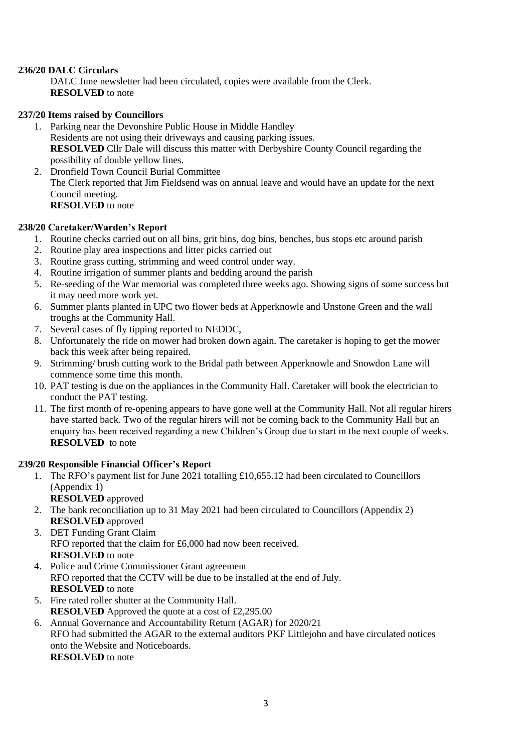# <span id="page-2-0"></span>**236/20 DALC Circulars**

DALC June newsletter had been circulated, copies were available from the Clerk. **RESOLVED** to note

# <span id="page-2-1"></span>**237/20 Items raised by Councillors**

- 1. Parking near the Devonshire Public House in Middle Handley Residents are not using their driveways and causing parking issues. **RESOLVED** Cllr Dale will discuss this matter with Derbyshire County Council regarding the possibility of double yellow lines.
- 2. Dronfield Town Council Burial Committee The Clerk reported that Jim Fieldsend was on annual leave and would have an update for the next Council meeting. **RESOLVED** to note

# <span id="page-2-2"></span>**238/20 Caretaker/Warden's Report**

- 1. Routine checks carried out on all bins, grit bins, dog bins, benches, bus stops etc around parish
- 2. Routine play area inspections and litter picks carried out
- 3. Routine grass cutting, strimming and weed control under way.
- 4. Routine irrigation of summer plants and bedding around the parish
- 5. Re-seeding of the War memorial was completed three weeks ago. Showing signs of some success but it may need more work yet.
- 6. Summer plants planted in UPC two flower beds at Apperknowle and Unstone Green and the wall troughs at the Community Hall.
- 7. Several cases of fly tipping reported to NEDDC,
- 8. Unfortunately the ride on mower had broken down again. The caretaker is hoping to get the mower back this week after being repaired.
- 9. Strimming/ brush cutting work to the Bridal path between Apperknowle and Snowdon Lane will commence some time this month.
- 10. PAT testing is due on the appliances in the Community Hall. Caretaker will book the electrician to conduct the PAT testing.
- 11. The first month of re-opening appears to have gone well at the Community Hall. Not all regular hirers have started back. Two of the regular hirers will not be coming back to the Community Hall but an enquiry has been received regarding a new Children's Group due to start in the next couple of weeks. **RESOLVED** to note

#### <span id="page-2-3"></span>**239/20 Responsible Financial Officer's Report**

- 1. The RFO's payment list for June 2021 totalling £10,655.12 had been circulated to Councillors (Appendix 1)
	- **RESOLVED** approved
- 2. The bank reconciliation up to 31 May 2021 had been circulated to Councillors (Appendix 2) **RESOLVED** approved
- 3. DET Funding Grant Claim RFO reported that the claim for £6,000 had now been received. **RESOLVED** to note
- 4. Police and Crime Commissioner Grant agreement RFO reported that the CCTV will be due to be installed at the end of July. **RESOLVED** to note
- 5. Fire rated roller shutter at the Community Hall. **RESOLVED** Approved the quote at a cost of £2,295.00
- 6. Annual Governance and Accountability Return (AGAR) for 2020/21 RFO had submitted the AGAR to the external auditors PKF Littlejohn and have circulated notices onto the Website and Noticeboards. **RESOLVED** to note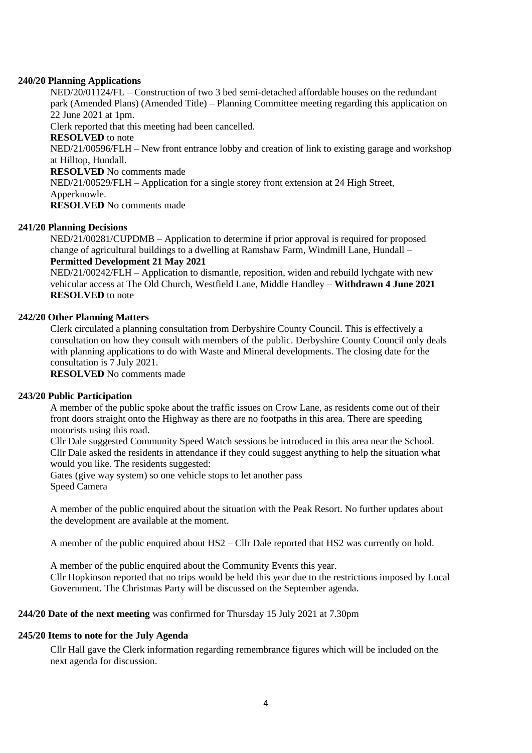#### <span id="page-3-0"></span>**240/20 Planning Applications**

NED/20/01124/FL – Construction of two 3 bed semi-detached affordable houses on the redundant park (Amended Plans) (Amended Title) – Planning Committee meeting regarding this application on 22 June 2021 at 1pm.

Clerk reported that this meeting had been cancelled.

**RESOLVED** to note

NED/21/00596/FLH – New front entrance lobby and creation of link to existing garage and workshop at Hilltop, Hundall.

**RESOLVED** No comments made

NED/21/00529/FLH – Application for a single storey front extension at 24 High Street,

Apperknowle.

**RESOLVED** No comments made

# <span id="page-3-1"></span>**241/20 Planning Decisions**

NED/21/00281/CUPDMB – Application to determine if prior approval is required for proposed change of agricultural buildings to a dwelling at Ramshaw Farm, Windmill Lane, Hundall – **Permitted Development 21 May 2021**

NED/21/00242/FLH – Application to dismantle, reposition, widen and rebuild lychgate with new vehicular access at The Old Church, Westfield Lane, Middle Handley – **Withdrawn 4 June 2021 RESOLVED** to note

# <span id="page-3-2"></span>**242/20 Other Planning Matters**

Clerk circulated a planning consultation from Derbyshire County Council. This is effectively a consultation on how they consult with members of the public. Derbyshire County Council only deals with planning applications to do with Waste and Mineral developments. The closing date for the consultation is 7 July 2021.

**RESOLVED** No comments made

#### <span id="page-3-3"></span>**243/20 Public Participation**

A member of the public spoke about the traffic issues on Crow Lane, as residents come out of their front doors straight onto the Highway as there are no footpaths in this area. There are speeding motorists using this road.

Cllr Dale suggested Community Speed Watch sessions be introduced in this area near the School. Cllr Dale asked the residents in attendance if they could suggest anything to help the situation what would you like. The residents suggested:

Gates (give way system) so one vehicle stops to let another pass Speed Camera

A member of the public enquired about the situation with the Peak Resort. No further updates about the development are available at the moment.

A member of the public enquired about HS2 – Cllr Dale reported that HS2 was currently on hold.

A member of the public enquired about the Community Events this year. Cllr Hopkinson reported that no trips would be held this year due to the restrictions imposed by Local Government. The Christmas Party will be discussed on the September agenda.

# <span id="page-3-4"></span>**244/20 Date of the next meeting** was confirmed for Thursday 15 July 2021 at 7.30pm

# <span id="page-3-5"></span>**245/20 Items to note for the July Agenda**

Cllr Hall gave the Clerk information regarding remembrance figures which will be included on the next agenda for discussion.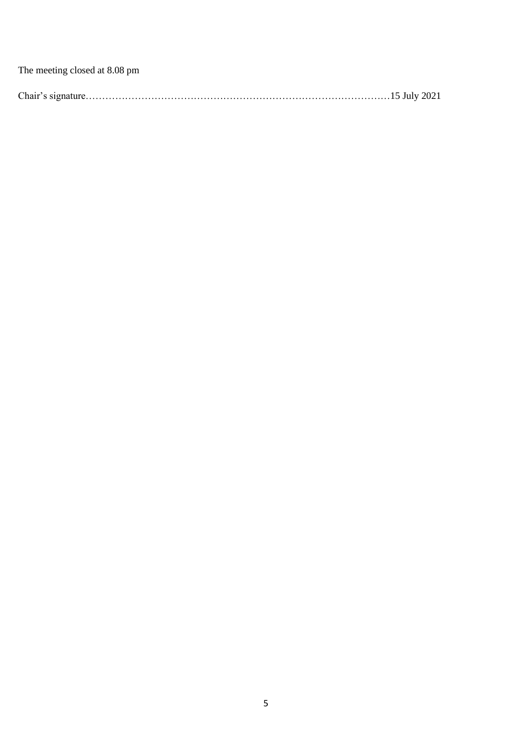The meeting closed at 8.08 pm

|--|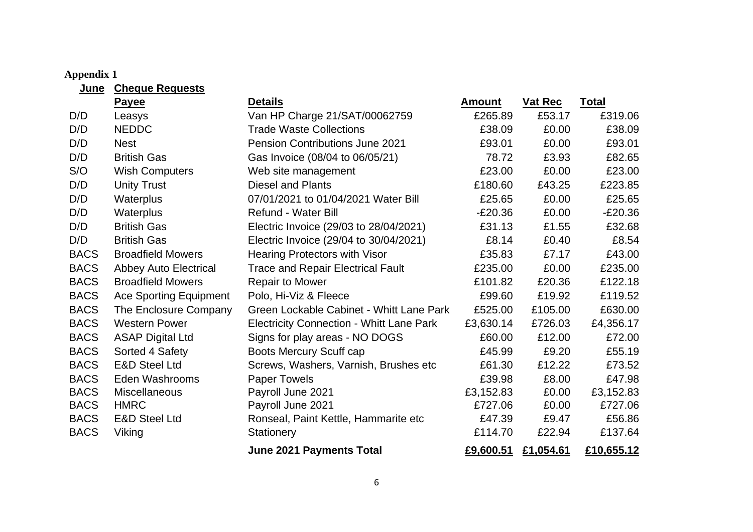# **Appendix 1**

<span id="page-5-0"></span>

| <u>June</u> | <b>Cheque Requests</b>        |                                                 |               |           |              |
|-------------|-------------------------------|-------------------------------------------------|---------------|-----------|--------------|
|             | <b>Payee</b>                  | <b>Details</b>                                  | <b>Amount</b> | Vat Rec   | <b>Total</b> |
| D/D         | Leasys                        | Van HP Charge 21/SAT/00062759                   | £265.89       | £53.17    | £319.06      |
| D/D         | <b>NEDDC</b>                  | <b>Trade Waste Collections</b>                  | £38.09        | £0.00     | £38.09       |
| D/D         | <b>Nest</b>                   | <b>Pension Contributions June 2021</b>          | £93.01        | £0.00     | £93.01       |
| D/D         | <b>British Gas</b>            | Gas Invoice (08/04 to 06/05/21)                 | 78.72         | £3.93     | £82.65       |
| S/O         | <b>Wish Computers</b>         | Web site management                             | £23.00        | £0.00     | £23.00       |
| D/D         | <b>Unity Trust</b>            | <b>Diesel and Plants</b>                        | £180.60       | £43.25    | £223.85      |
| D/D         | Waterplus                     | 07/01/2021 to 01/04/2021 Water Bill             | £25.65        | £0.00     | £25.65       |
| D/D         | Waterplus                     | <b>Refund - Water Bill</b>                      | $-E20.36$     | £0.00     | $-E20.36$    |
| D/D         | <b>British Gas</b>            | Electric Invoice (29/03 to 28/04/2021)          | £31.13        | £1.55     | £32.68       |
| D/D         | <b>British Gas</b>            | Electric Invoice (29/04 to 30/04/2021)          | £8.14         | £0.40     | £8.54        |
| <b>BACS</b> | <b>Broadfield Mowers</b>      | <b>Hearing Protectors with Visor</b>            | £35.83        | £7.17     | £43.00       |
| <b>BACS</b> | <b>Abbey Auto Electrical</b>  | <b>Trace and Repair Electrical Fault</b>        | £235.00       | £0.00     | £235.00      |
| <b>BACS</b> | <b>Broadfield Mowers</b>      | <b>Repair to Mower</b>                          | £101.82       | £20.36    | £122.18      |
| <b>BACS</b> | <b>Ace Sporting Equipment</b> | Polo, Hi-Viz & Fleece                           | £99.60        | £19.92    | £119.52      |
| <b>BACS</b> | The Enclosure Company         | Green Lockable Cabinet - Whitt Lane Park        | £525.00       | £105.00   | £630.00      |
| <b>BACS</b> | <b>Western Power</b>          | <b>Electricity Connection - Whitt Lane Park</b> | £3,630.14     | £726.03   | £4,356.17    |
| <b>BACS</b> | <b>ASAP Digital Ltd</b>       | Signs for play areas - NO DOGS                  | £60.00        | £12.00    | £72.00       |
| <b>BACS</b> | Sorted 4 Safety               | Boots Mercury Scuff cap                         | £45.99        | £9.20     | £55.19       |
| <b>BACS</b> | <b>E&amp;D Steel Ltd</b>      | Screws, Washers, Varnish, Brushes etc.          | £61.30        | £12.22    | £73.52       |
| <b>BACS</b> | Eden Washrooms                | <b>Paper Towels</b>                             | £39.98        | £8.00     | £47.98       |
| <b>BACS</b> | Miscellaneous                 | Payroll June 2021                               | £3,152.83     | £0.00     | £3,152.83    |
| <b>BACS</b> | <b>HMRC</b>                   | Payroll June 2021                               | £727.06       | £0.00     | £727.06      |
| <b>BACS</b> | <b>E&amp;D Steel Ltd</b>      | Ronseal, Paint Kettle, Hammarite etc            | £47.39        | £9.47     | £56.86       |
| <b>BACS</b> | Viking                        | <b>Stationery</b>                               | £114.70       | £22.94    | £137.64      |
|             |                               | <b>June 2021 Payments Total</b>                 | £9,600.51     | £1,054.61 | £10,655.12   |